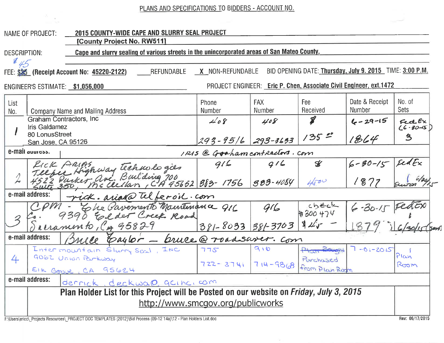PLANS AND SPECIFICATIONS TO BIDDERS - ACCOUNT NO.

|                                                                                                                                                 | <b>NAME OF PROJECT:</b>              | 2015 COUNTY-WIDE CAPE AND SLURRY SEAL PROJECT<br><b>[County Project No. RW511]</b>                                |                        |                      |                             |                                 |                          |  |  |  |  |
|-------------------------------------------------------------------------------------------------------------------------------------------------|--------------------------------------|-------------------------------------------------------------------------------------------------------------------|------------------------|----------------------|-----------------------------|---------------------------------|--------------------------|--|--|--|--|
| <b>DESCRIPTION:</b>                                                                                                                             |                                      | Cape and slurry sealing of various streets in the unincorporated areas of San Mateo County.                       |                        |                      |                             |                                 |                          |  |  |  |  |
| 845<br>BID OPENING DATE: Thursday, July 9. 2015 TIME: 3:00 P.M.<br>X NON-REFUNDABLE<br>REFUNDABLE<br>FEE: \$35 (Receipt Account No: 45220-2122) |                                      |                                                                                                                   |                        |                      |                             |                                 |                          |  |  |  |  |
| <b>PROJECT ENGINEER: Eric P. Chen, Associate Civil Engineer, ext.1472</b><br>ENGINEER'S ESTIMATE: \$1,056,000                                   |                                      |                                                                                                                   |                        |                      |                             |                                 |                          |  |  |  |  |
| List<br>No.                                                                                                                                     |                                      | <b>Company Name and Mailing Address</b>                                                                           | Phone<br><b>Number</b> | <b>FAX</b><br>Number | Fee<br>Received             | Date & Receipt<br><b>Number</b> | No. of<br>Sets           |  |  |  |  |
|                                                                                                                                                 | <b>Iris Galdamez</b>                 | Graham Contractors, Inc.                                                                                          | 408                    | 408                  | L                           | $6 - 29 - 15$                   | FedEx<br>$(6 - 30 - 15)$ |  |  |  |  |
|                                                                                                                                                 | 80 LonusStreet<br>San Jose, CA 95126 |                                                                                                                   | $293 - 95/6$ 293-3633  |                      | $135 -$                     | 1864                            | 3                        |  |  |  |  |
| e-mail auuross.<br>IRIS @ Graham contractors. com                                                                                               |                                      |                                                                                                                   |                        |                      |                             |                                 |                          |  |  |  |  |
|                                                                                                                                                 |                                      | KICK ARIAS                                                                                                        | 916                    | 916                  | $\mathscr{K}$               | $6 - 30 - 15$                   | redEx                    |  |  |  |  |
|                                                                                                                                                 |                                      | ICK Phips<br>elfer Highway technologies 915<br>22 Purker ave Building 700<br>ut 350, McCledon , CA 95652 883-1756 |                        | 383-4084             | 4500                        | 1877                            |                          |  |  |  |  |
| e-mail address:<br>rick. ariad@ telferoil.com                                                                                                   |                                      |                                                                                                                   |                        |                      |                             |                                 |                          |  |  |  |  |
| $\mathcal{Z}$                                                                                                                                   |                                      | Ele Pavemento Maintenance 916<br>Elder Creek Road<br>9390                                                         |                        | G/L                  |                             | $6 - 30 - 15$ FedEX             |                          |  |  |  |  |
|                                                                                                                                                 |                                      | reramento, CA 95829                                                                                               | 381-8033 381-3703      |                      |                             |                                 |                          |  |  |  |  |
|                                                                                                                                                 | e-mail address:                      | Caylor - bruce@roadsaver.com                                                                                      |                        |                      |                             |                                 |                          |  |  |  |  |
|                                                                                                                                                 |                                      | Intermountain Sturry Seal, INC                                                                                    | 775                    | 916                  | Plan Bought                 | $7 - 01 - 2015$                 | Plan                     |  |  |  |  |
| 4                                                                                                                                               |                                      | GOGZ URIOR Parkway<br>EIK GOOVE, CA 95624                                                                         | $722 - 3741$           | $714 - 9868$         | Parchased<br>from Plan Room |                                 | Room                     |  |  |  |  |
|                                                                                                                                                 | e-mail address:                      | derrick, deckward garnar com                                                                                      |                        |                      |                             |                                 |                          |  |  |  |  |
| Plan Holder List for this Project will be Posted on our website on <i>Friday, July 3, 2015</i>                                                  |                                      |                                                                                                                   |                        |                      |                             |                                 |                          |  |  |  |  |
|                                                                                                                                                 | http://www.smcgov.org/publicworks    |                                                                                                                   |                        |                      |                             |                                 |                          |  |  |  |  |
|                                                                                                                                                 |                                      |                                                                                                                   |                        |                      |                             |                                 |                          |  |  |  |  |

ia.

F:\Users\ericc\\_Projects Resources\\_PROJECT DOC TEMPLATES (2012)\Bid Process (09-12 14a)\12 - Plan Holders List.doc

 $\langle \alpha \rangle$ 

Rev: 06/17/2015